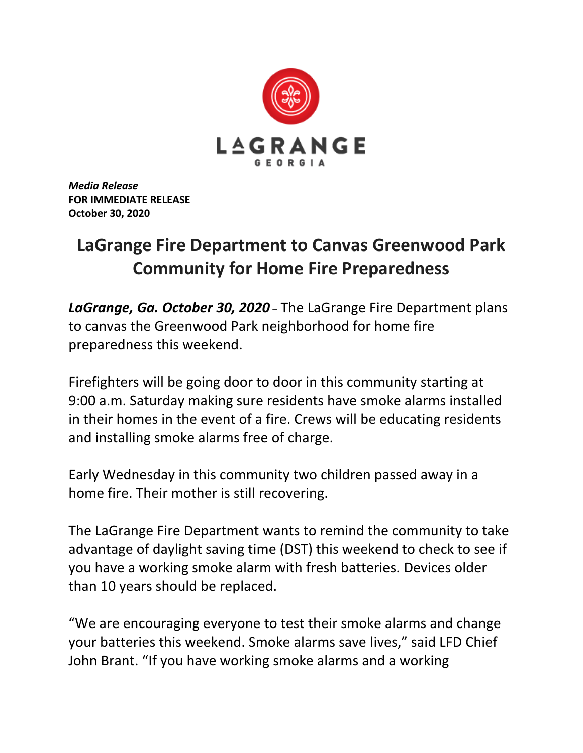

*Media Release* **FOR IMMEDIATE RELEASE October 30, 2020**

## **LaGrange Fire Department to Canvas Greenwood Park Community for Home Fire Preparedness**

*LaGrange, Ga. October 30, 2020* – The LaGrange Fire Department plans to canvas the Greenwood Park neighborhood for home fire preparedness this weekend.

Firefighters will be going door to door in this community starting at 9:00 a.m. Saturday making sure residents have smoke alarms installed in their homes in the event of a fire. Crews will be educating residents and installing smoke alarms free of charge.

Early Wednesday in this community two children passed away in a home fire. Their mother is still recovering.

The LaGrange Fire Department wants to remind the community to take advantage of daylight saving time (DST) this weekend to check to see if you have a working smoke alarm with fresh batteries. Devices older than 10 years should be replaced.

"We are encouraging everyone to test their smoke alarms and change your batteries this weekend. Smoke alarms save lives," said LFD Chief John Brant. "If you have working smoke alarms and a working